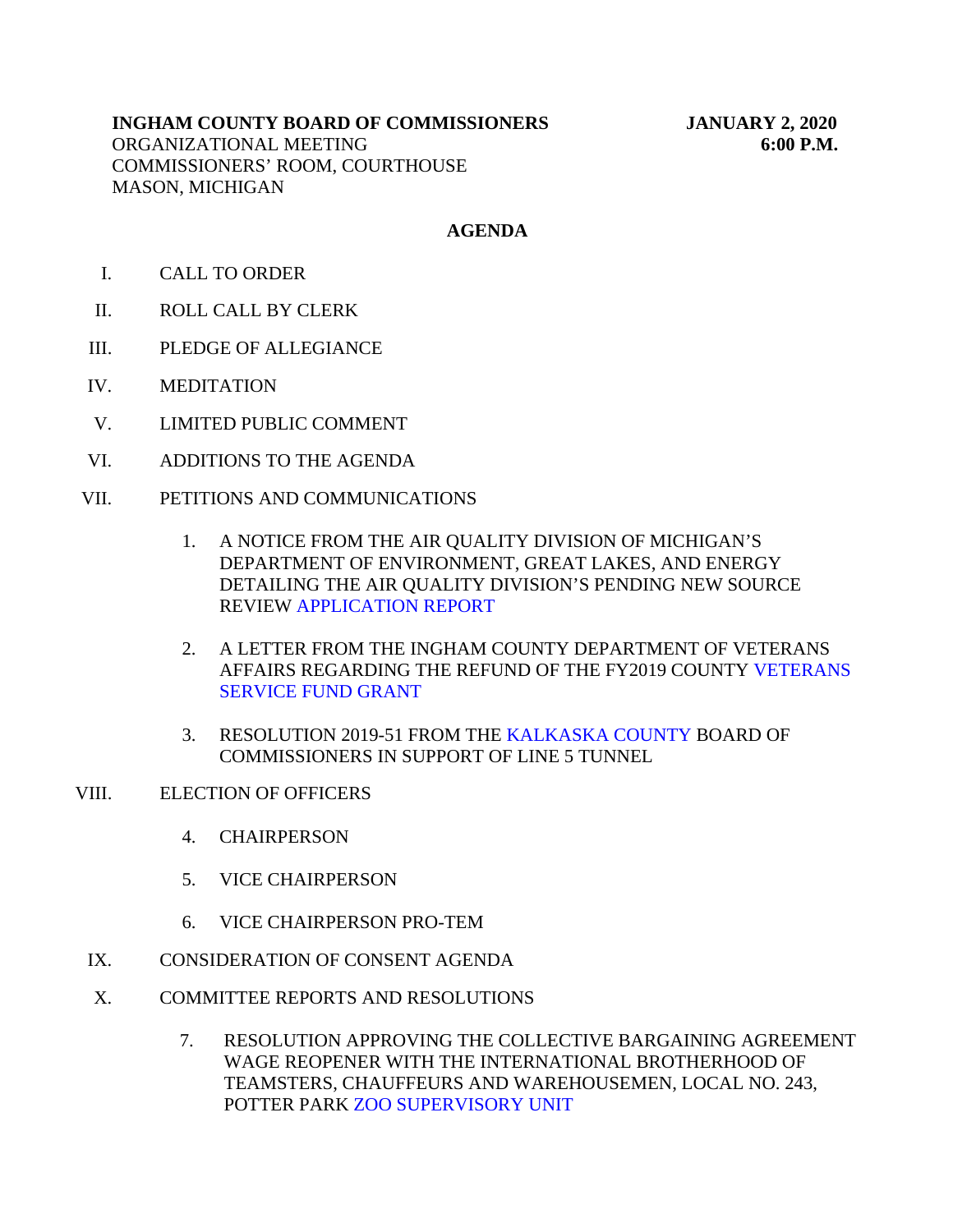# **INGHAM COUNTY BOARD OF COMMISSIONERS JANUARY 2, 2020** ORGANIZATIONAL MEETING **6:00 P.M.** COMMISSIONERS' ROOM, COURTHOUSE MASON, MICHIGAN

# **AGENDA**

- I. CALL TO ORDER
- II. ROLL CALL BY CLERK
- III. PLEDGE OF ALLEGIANCE
- IV. MEDITATION
- V. LIMITED PUBLIC COMMENT
- VI. ADDITIONS TO THE AGENDA
- VII. PETITIONS AND COMMUNICATIONS
	- 1. A NOTICE FROM THE AIR QUALITY DIVISION OF MICHIGAN'S DEPARTMENT OF ENVIRONMENT, GREAT LAKES, AND ENERGY DETAILING THE AIR QUALITY DIVISION'S PENDING NEW SOURCE REVIEW [APPLICATION REPORT](#page-3-0)
	- 2. A LETTER FROM THE INGHAM COUNTY DEPARTMENT OF VETERANS AFFAIRS REGARDING THE REFUND [OF THE FY2019 COUNTY VETERANS](#page-5-0) SERVICE FUND GRANT
	- 3. RESOLUTION 2019-51 FROM THE [KALKASKA COUNTY BOARD](#page-8-0) OF COMMISSIONERS IN SUPPORT OF LINE 5 TUNNEL
- VIII. ELECTION OF OFFICERS
	- 4. CHAIRPERSON
	- 5. VICE CHAIRPERSON
	- 6. VICE CHAIRPERSON PRO-TEM
	- IX. CONSIDERATION OF CONSENT AGENDA
	- X. COMMITTEE REPORTS AND RESOLUTIONS
		- 7. RESOLUTION APPROVING THE COLLECTIVE BARGAINING AGREEMENT WAGE REOPENER WITH THE INTERNATIONAL BROTHERHOOD OF TEAMSTERS, CHAUFFEURS AND WAREHOUSEMEN, LOCAL NO. 243, POTTER P[ARK ZOO SUPERVISORY UNIT](#page-10-0)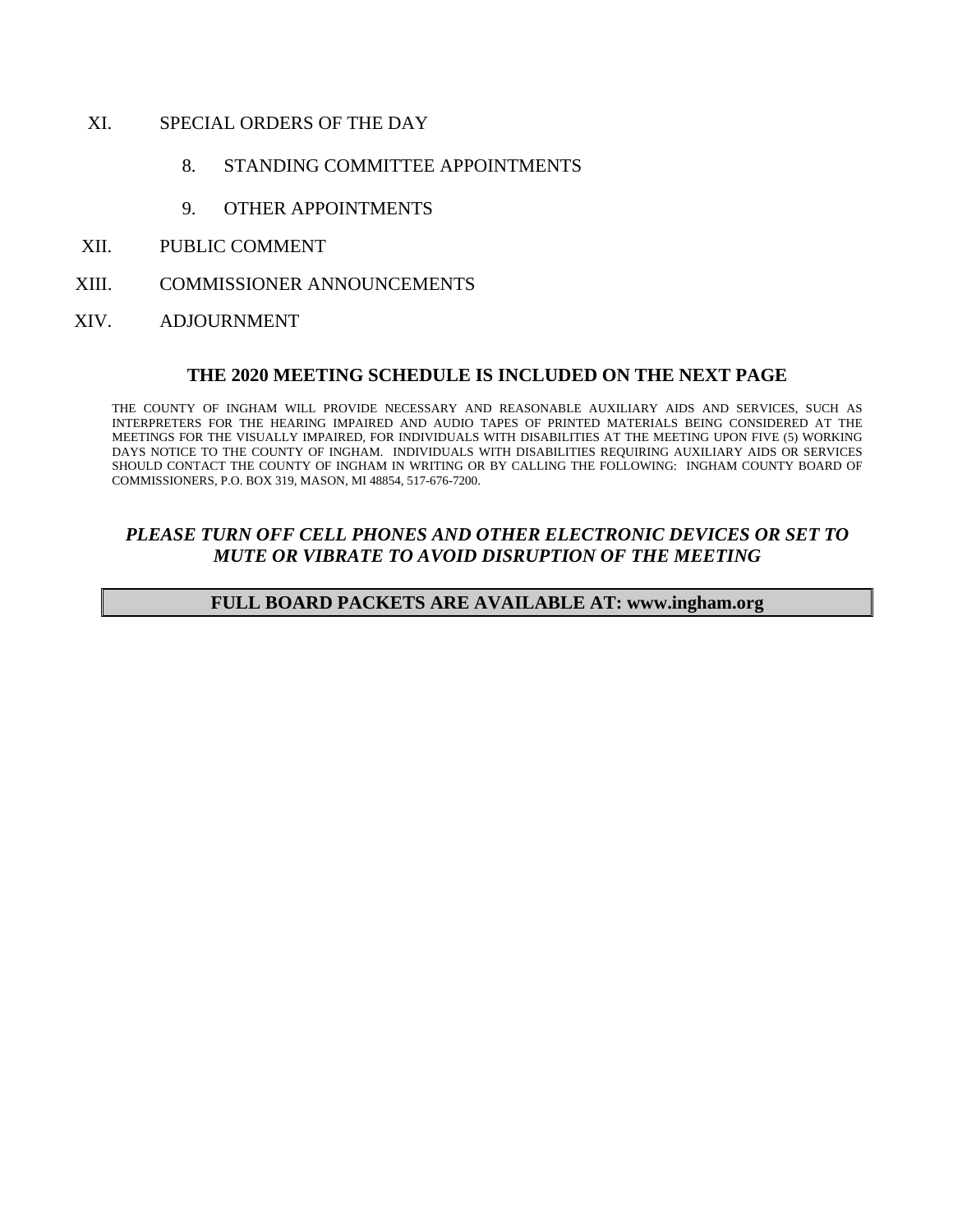- XI. SPECIAL ORDERS OF THE DAY
	- 8. STANDING COMMITTEE APPOINTMENTS
	- 9. OTHER APPOINTMENTS
- XII. PUBLIC COMMENT
- XIII. COMMISSIONER ANNOUNCEMENTS
- XIV. ADJOURNMENT

#### **THE 2020 MEETING SCHEDULE IS INCLUDED ON THE NEXT PAGE**

THE COUNTY OF INGHAM WILL PROVIDE NECESSARY AND REASONABLE AUXILIARY AIDS AND SERVICES, SUCH AS INTERPRETERS FOR THE HEARING IMPAIRED AND AUDIO TAPES OF PRINTED MATERIALS BEING CONSIDERED AT THE MEETINGS FOR THE VISUALLY IMPAIRED, FOR INDIVIDUALS WITH DISABILITIES AT THE MEETING UPON FIVE (5) WORKING DAYS NOTICE TO THE COUNTY OF INGHAM. INDIVIDUALS WITH DISABILITIES REQUIRING AUXILIARY AIDS OR SERVICES SHOULD CONTACT THE COUNTY OF INGHAM IN WRITING OR BY CALLING THE FOLLOWING: INGHAM COUNTY BOARD OF COMMISSIONERS, P.O. BOX 319, MASON, MI 48854, 517-676-7200.

# *PLEASE TURN OFF CELL PHONES AND OTHER ELECTRONIC DEVICES OR SET TO MUTE OR VIBRATE TO AVOID DISRUPTION OF THE MEETING*

#### **FULL BOARD PACKETS ARE AVAILABLE AT: www.ingham.org**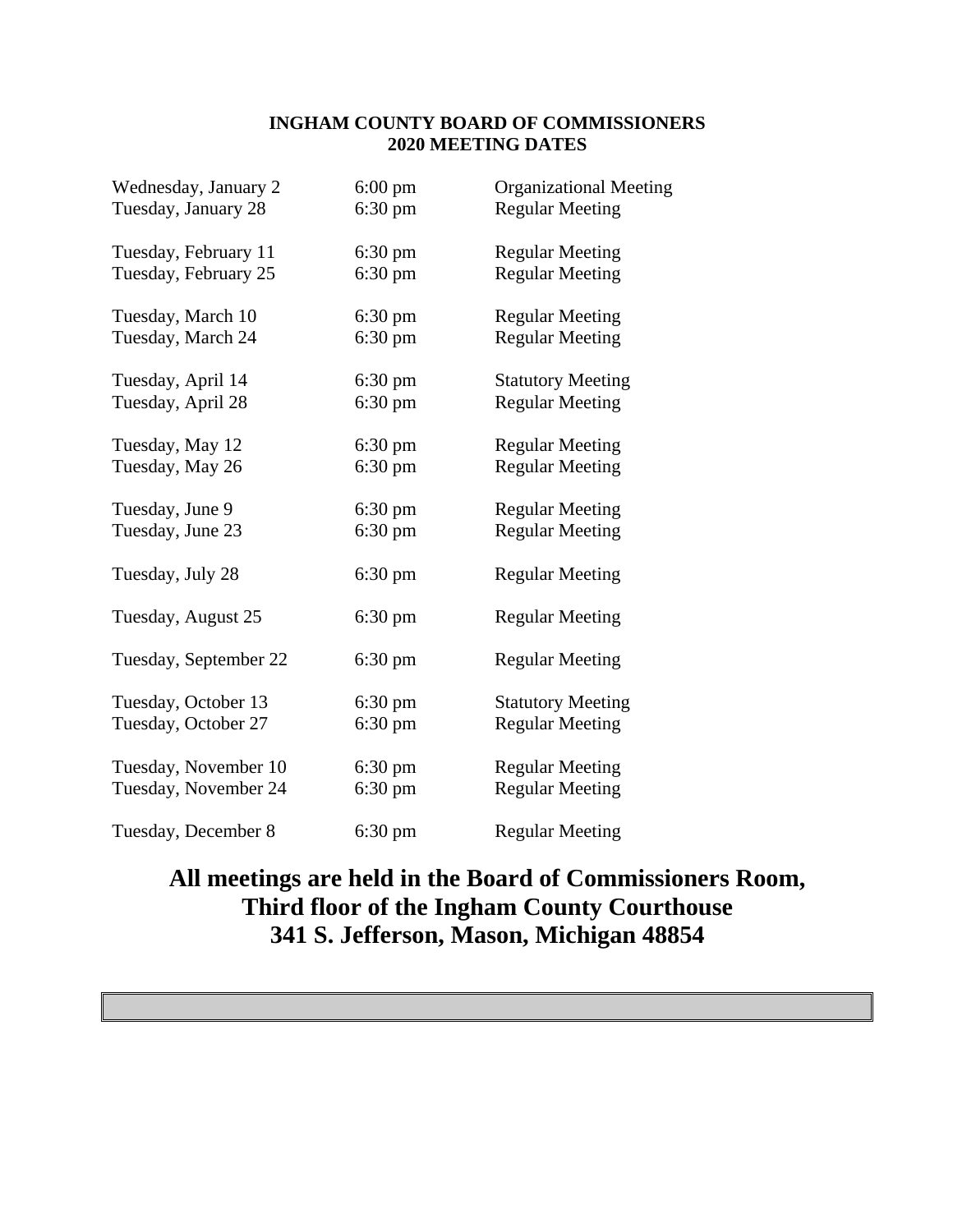# **INGHAM COUNTY BOARD OF COMMISSIONERS 2020 MEETING DATES**

| Wednesday, January 2  | $6:00 \text{ pm}$ | <b>Organizational Meeting</b> |
|-----------------------|-------------------|-------------------------------|
| Tuesday, January 28   | $6:30 \text{ pm}$ | <b>Regular Meeting</b>        |
| Tuesday, February 11  | $6:30 \text{ pm}$ | <b>Regular Meeting</b>        |
| Tuesday, February 25  | $6:30 \text{ pm}$ | <b>Regular Meeting</b>        |
| Tuesday, March 10     | $6:30 \text{ pm}$ | <b>Regular Meeting</b>        |
| Tuesday, March 24     | $6:30 \text{ pm}$ | <b>Regular Meeting</b>        |
| Tuesday, April 14     | $6:30 \text{ pm}$ | <b>Statutory Meeting</b>      |
| Tuesday, April 28     | $6:30 \text{ pm}$ | <b>Regular Meeting</b>        |
| Tuesday, May 12       | $6:30 \text{ pm}$ | <b>Regular Meeting</b>        |
| Tuesday, May 26       | $6:30 \text{ pm}$ | <b>Regular Meeting</b>        |
| Tuesday, June 9       | $6:30 \text{ pm}$ | <b>Regular Meeting</b>        |
| Tuesday, June 23      | $6:30 \text{ pm}$ | <b>Regular Meeting</b>        |
| Tuesday, July 28      | $6:30 \text{ pm}$ | <b>Regular Meeting</b>        |
| Tuesday, August 25    | $6:30 \text{ pm}$ | <b>Regular Meeting</b>        |
| Tuesday, September 22 | $6:30 \text{ pm}$ | <b>Regular Meeting</b>        |
| Tuesday, October 13   | $6:30 \text{ pm}$ | <b>Statutory Meeting</b>      |
| Tuesday, October 27   | $6:30$ pm         | <b>Regular Meeting</b>        |
| Tuesday, November 10  | $6:30 \text{ pm}$ | <b>Regular Meeting</b>        |
| Tuesday, November 24  | $6:30 \text{ pm}$ | <b>Regular Meeting</b>        |
| Tuesday, December 8   | $6:30 \text{ pm}$ | <b>Regular Meeting</b>        |

# **All meetings are held in the Board of Commissioners Room, Third floor of the Ingham County Courthouse 341 S. Jefferson, Mason, Michigan 48854**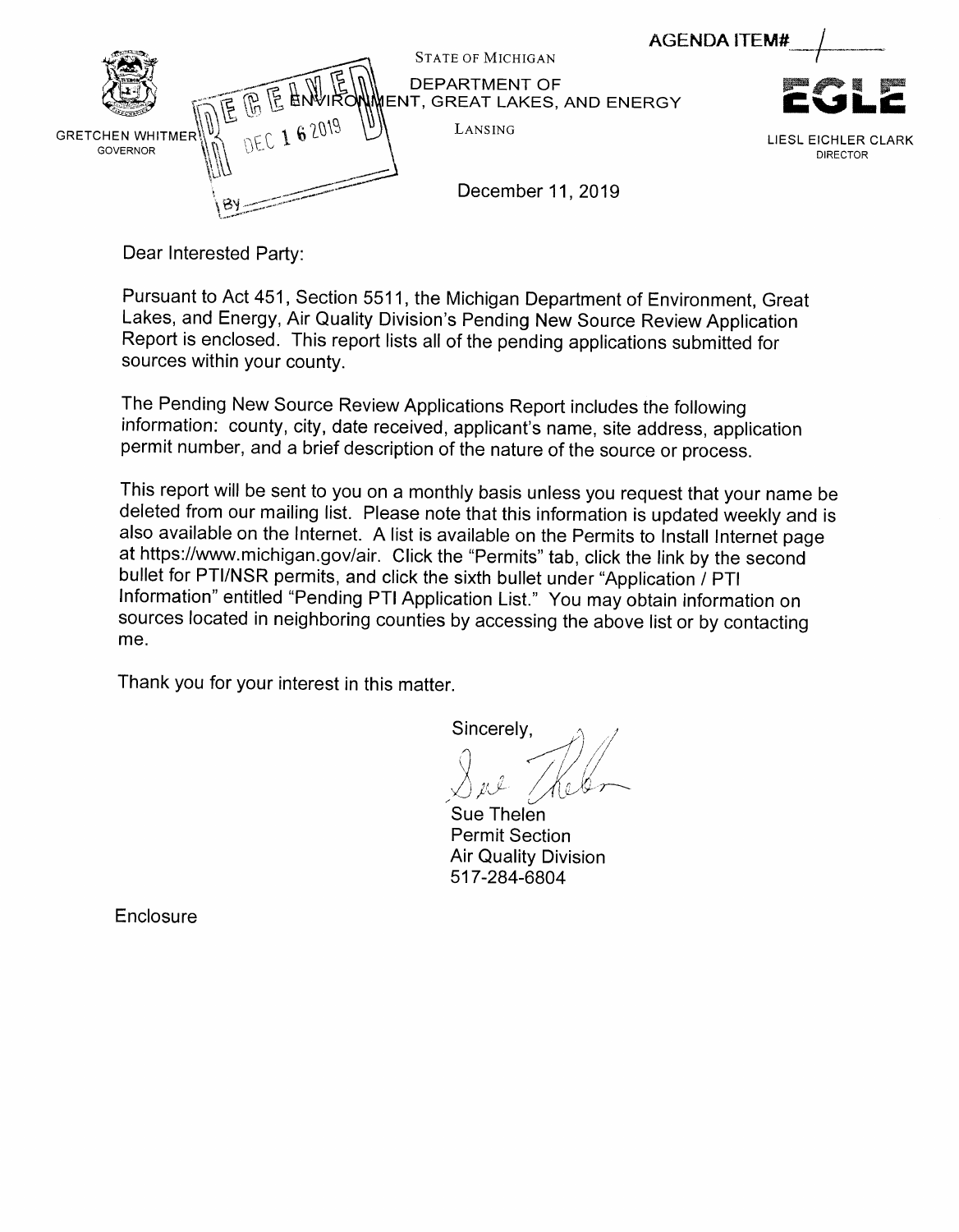<span id="page-3-0"></span>

Dear Interested Party:

Pursuant to Act 451, Section 5511, the Michigan Department of Environment, Great Lakes, and Energy, Air Quality Division's Pending New Source Review Application Report is enclosed. This report lists all of the pending applications submitted for sources within your county.

The Pending New Source Review Applications Report includes the following information: county, city, date received, applicant's name, site address, application permit number, and a brief description of the nature of the source or process.

This report will be sent to you on a monthly basis unless you request that your name be deleted from our mailing list. Please note that this information is updated weekly and is also available on the Internet. Alist is available on the Permits to install Internet page at https://www.michigan.gov/air. Click the "Permits" tab, click the link by the second bullet for PTI/NSR permits, and click the sixth bullet under "Application / PTI Information" entitled "Pending PTI Application List." You mayobtain information on sources located in neighboring counties by accessing the above list or by contacting me.

Thank you for your interest in this matter.

Sincerely,

Sue Thelen Permit Section Air Quality Division 517-284-6804

**Enclosure**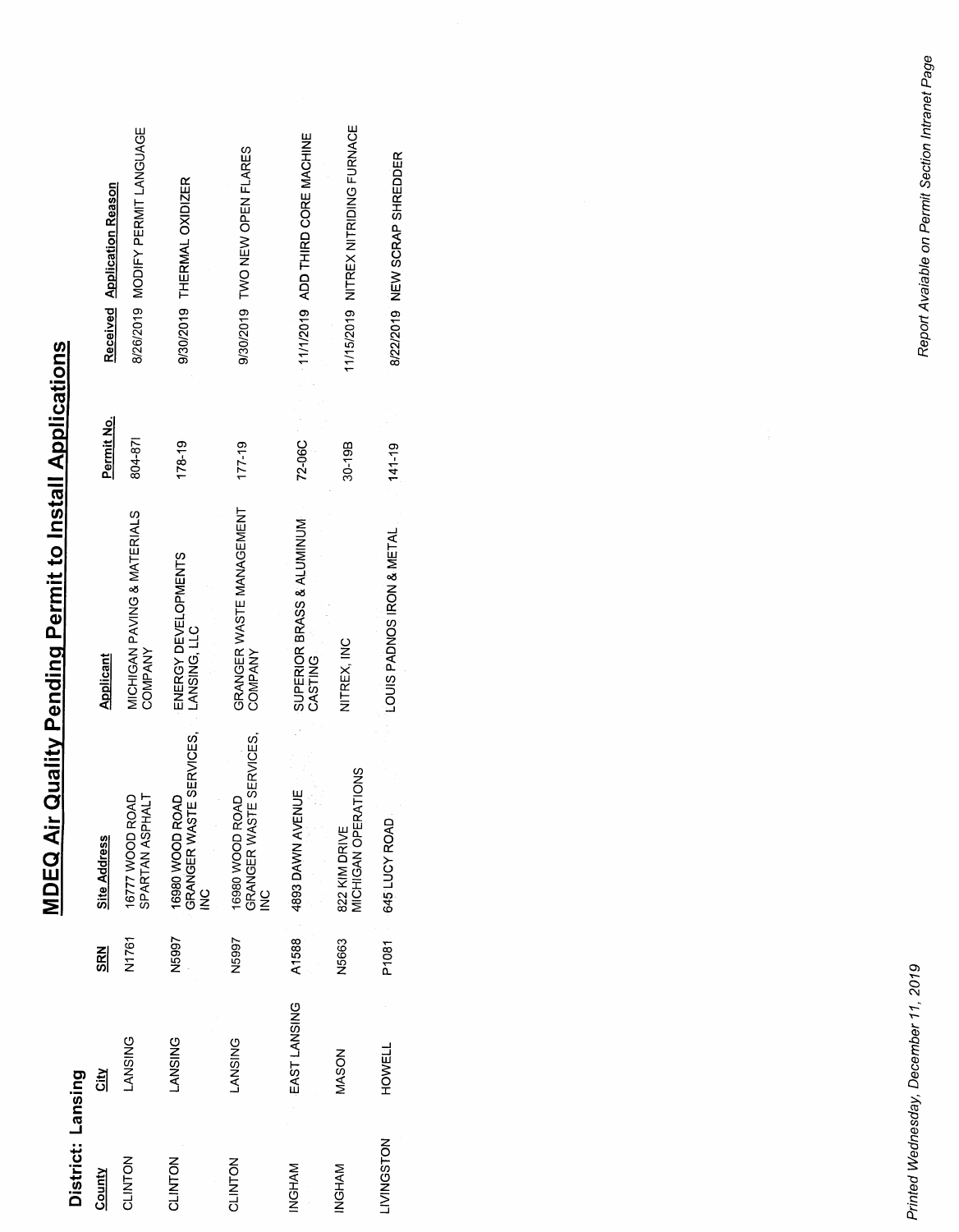| District: Lansing |                |            |                                                             |                                        |            |                                     |
|-------------------|----------------|------------|-------------------------------------------------------------|----------------------------------------|------------|-------------------------------------|
| County            | <u>tiy</u>     | <b>SRN</b> | <b>Site Address</b>                                         | <b>Applicant</b>                       | Permit No. | Received Application Reason         |
| CLINTON           | <b>LANSING</b> | N1761      | SPARTAN ASPHALT<br>16777 WOOD ROAD                          | MICHIGAN PAVING & MATERIALS<br>COMPANY | 804-871    | 8/26/2019 MODIFY PERMIT LANGUAGE    |
| CLINTON           | <b>LANSING</b> | N5997      | GRANGER WASTE SERVICES.<br>16980 WOOD ROAD<br>$\frac{0}{2}$ | ENERGY DEVELOPMENTS<br>LANSING, LLC    | $178 - 19$ | 9/30/2019 THERMAL OXIDIZER          |
| CLINTON           | LANSING        | N5997      | GRANGER WASTE SERVICES,<br>16980 WOOD ROAD<br>$\frac{0}{2}$ | GRANGER WASTE MANAGEMENT<br>COMPANY    | $177 - 19$ | 9/30/2019 TWO NEW OPEN FLARES       |
| INGHAM            | EAST LANSING   | A1588      | 4893 DAWN AVENUE                                            | SUPERIOR BRASS & ALUMINUM<br>CASTING   | 72-06C     | 11/1/2019 ADD THIRD CORE MACHINE    |
| <b>INGHAM</b>     | MASON          | N5663      | MICHIGAN OPERATIONS<br>822 KIM DRIVE                        | NITREX, INC                            | 30-19B     | 11/15/2019 NITREX NITRIDING FURNACE |
| <b>LIVINGSTON</b> | HOMELT         | P1081      | 645 LUCY ROAD                                               | LOUIS PADNOS IRON & METAL              | $141 - 19$ | 8/22/2019 NEW SCRAP SHREDDER        |

# **MDEQ Air Quality Pending Permit to Install Applications** *MDEQ Air Quality Pending Permit to Install Applications*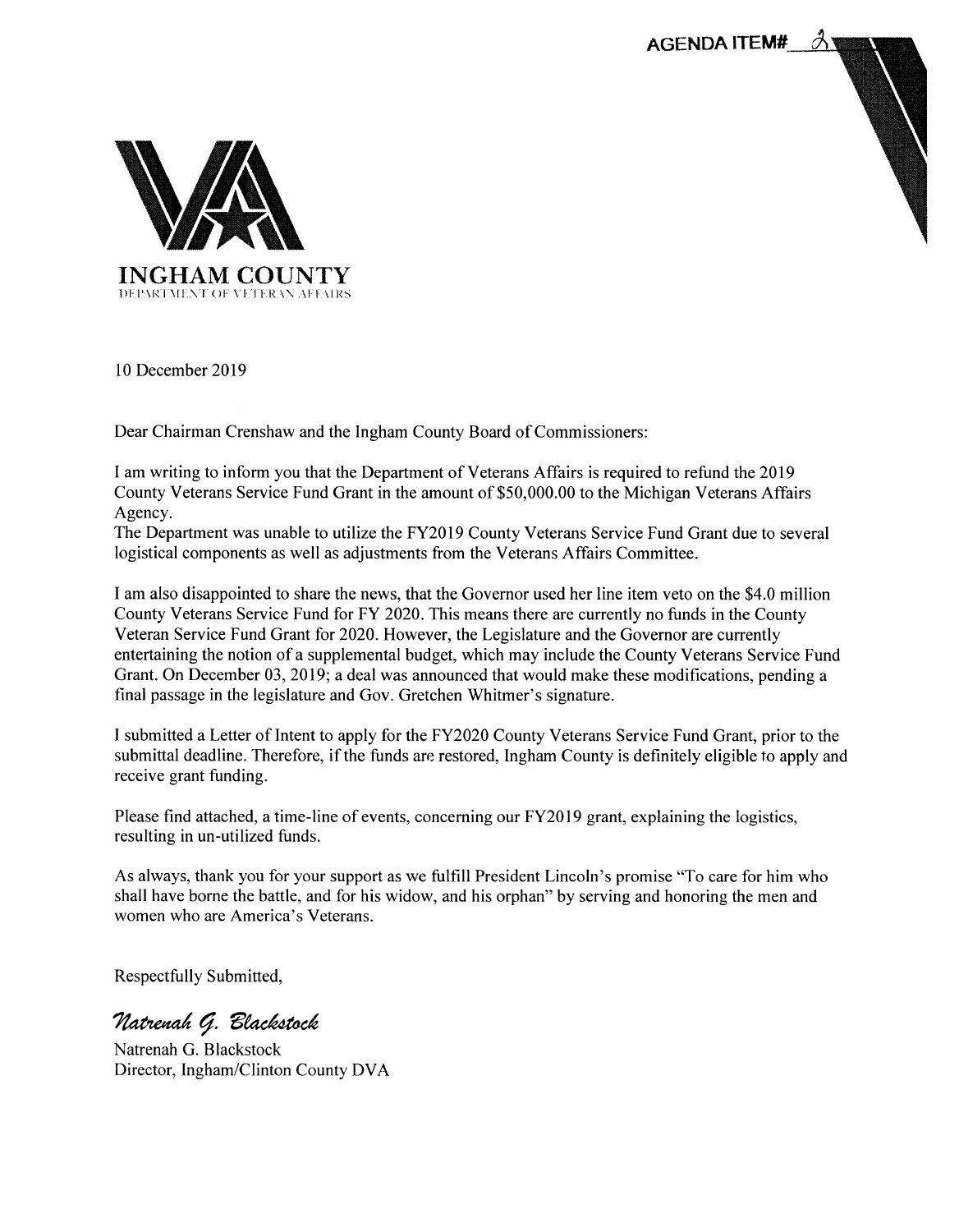<span id="page-5-0"></span>

10 December 2019

Dear Chairman Crenshaw and the Ingham County Board of Commissioners:

I am writing to inform you that the Department of Veterans Affairs is required to refund the 2019 County Veterans Service Fund Grant in the amount of \$50,000.00 to the Michigan Veterans Affairs Agency.

The Department was unable to utilize the FY2019 County Veterans Service Fund Grant due to several logistical components as well as adjustments from the Veterans Affairs Committee.

I am also disappointed to share the news, that the Governor used her line item veto on the \$4.0 million County Veterans Service Fund for FY 2020. This means there are currently no funds in the County Veteran Service Fund Grant for 2020. However, the Legislature and the Governor are currently entertaining the notion of a supplemental budget, which may include the County Veterans Service Fund Grant. On December 03, 2019; a deal was announced that would make these modifications, pending a final passage in the legislature and Gov. Gretchen Whitmer's signature.

I submitted a Letter ofIntent to apply for the FY2020 County Veterans Service Fund Grant, prior to the submittal deadline. Therefore, if the funds are restored, Ingham County is definitely eligible to apply and receive grant funding.

Please find attached, a time-line of events, concerning our FY2019 grant, explaining the logistics, resulting in un-utilized funds.

As always, thank you for your support as we fulfill President Lincoln's promise "To care for him who shall have borne the battle, and for his widow, and his orphan" by serving and honoring the men and women who are America's Veterans.

Respectfully Submitted,

Natrenah G. Blackstock

Natrenah G. Blackstock Director, Ingham/Clinton County DVA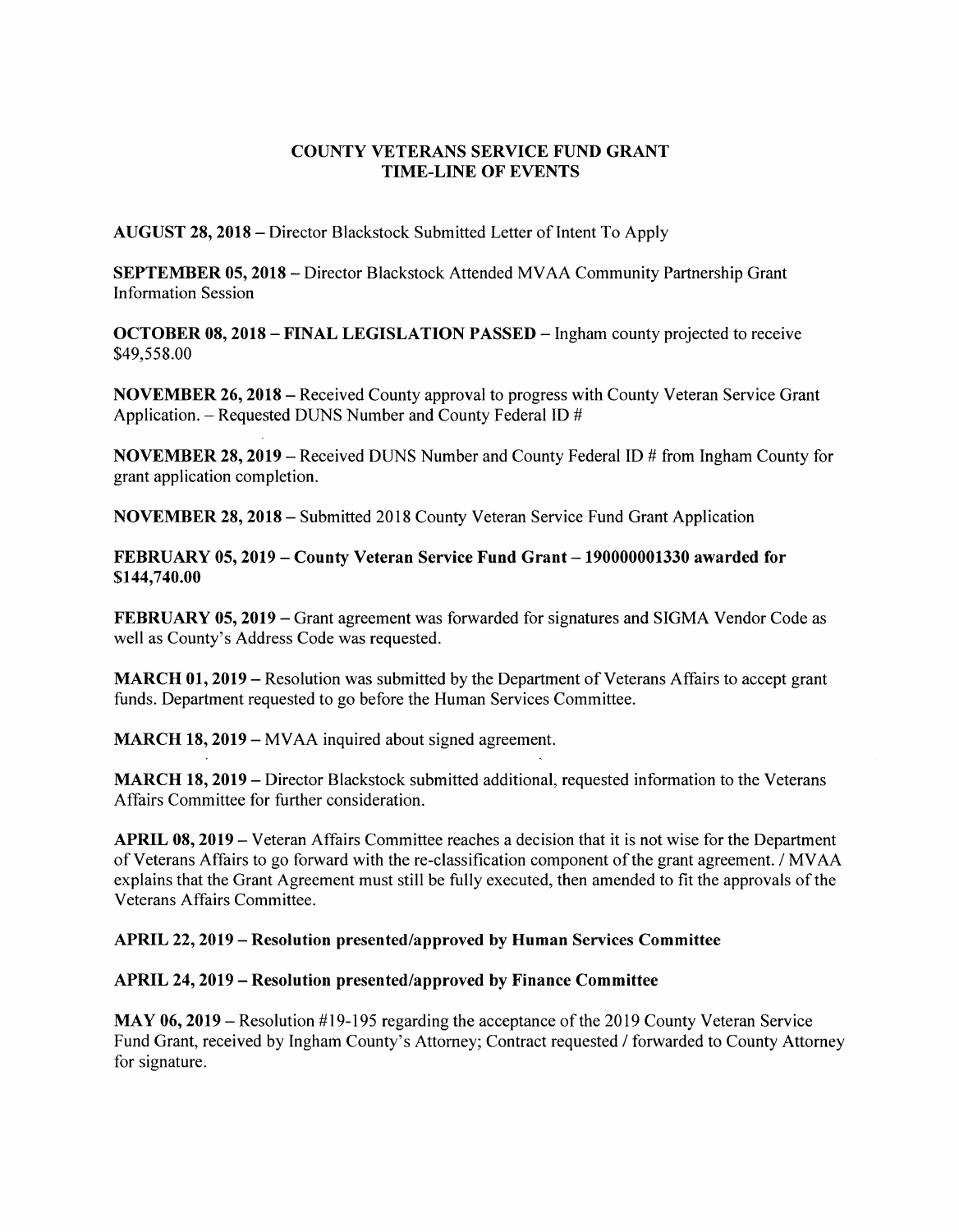#### *COUNTY VETERANS SERVICE FUND GRANT TIME-LINE OF EVENTS*

AUGUST 28, 2018 – Director Blackstock Submitted Letter of Intent To Apply

*SEPTEMBER 05,2018* - Director Blackstock Attended MVAA Community Partnership Grant Information Session

*OCTOBER 08,2018 - FINAL LEGISLATION PASSED* - Ingham county projected to receive \$49,558.00

*NOVEMBER 26,2018* - Received County approval to progress with County Veteran Service Grant Application. – Requested DUNS Number and County Federal ID #

*NOVEMBER 28,2019* - Received DUNS Number and County Federal ID # from Ingham County for grant application completion.

*NOVEMBER 28, 2018* - Submitted 2018 County Veteran Service Fund Grant Application

*FEBRUARY 05,2019 - County Veteran Service Fund Grant -190000001330 awarded for \$144,740.00*

*FEBRUARY 05,2019* - Grant agreement was forwarded for signatures and SIGMA Vendor Code as well as County's Address Code was requested.

*MARCH 01,2019* - Resolution was submitted by the Department of Veterans Affairs to accept grant funds. Department requested to go before the Human Services Committee.

*MARCH 18,2019* - MVAA inquired about signed agreement.

*MARCH 18,2019* - Director Blackstock submitted additional, requested information to the Veterans Affairs Committee for further consideration.

*APRIL 08,2019* - Veteran Affairs Committee reaches a decision that it is not wise for the Department of Veterans Affairs to go forward with the re-classification component ofthe grant agreement. / MVAA explains that the Grant Agreement must still be fully executed, then amended to fit the approvals of the Veterans Affairs Committee.

#### *APRIL 22, 2019 - Resolution presented/approved by Human Services Committee*

#### *APRIL 24,2019 - Resolution presented/approved by Finance Committee*

*MAY* 06, 2019 – Resolution #19-195 regarding the acceptance of the 2019 County Veteran Service Fund Grant, received by Ingham County's Attorney; Contract requested / forwarded to County Attorney for signature.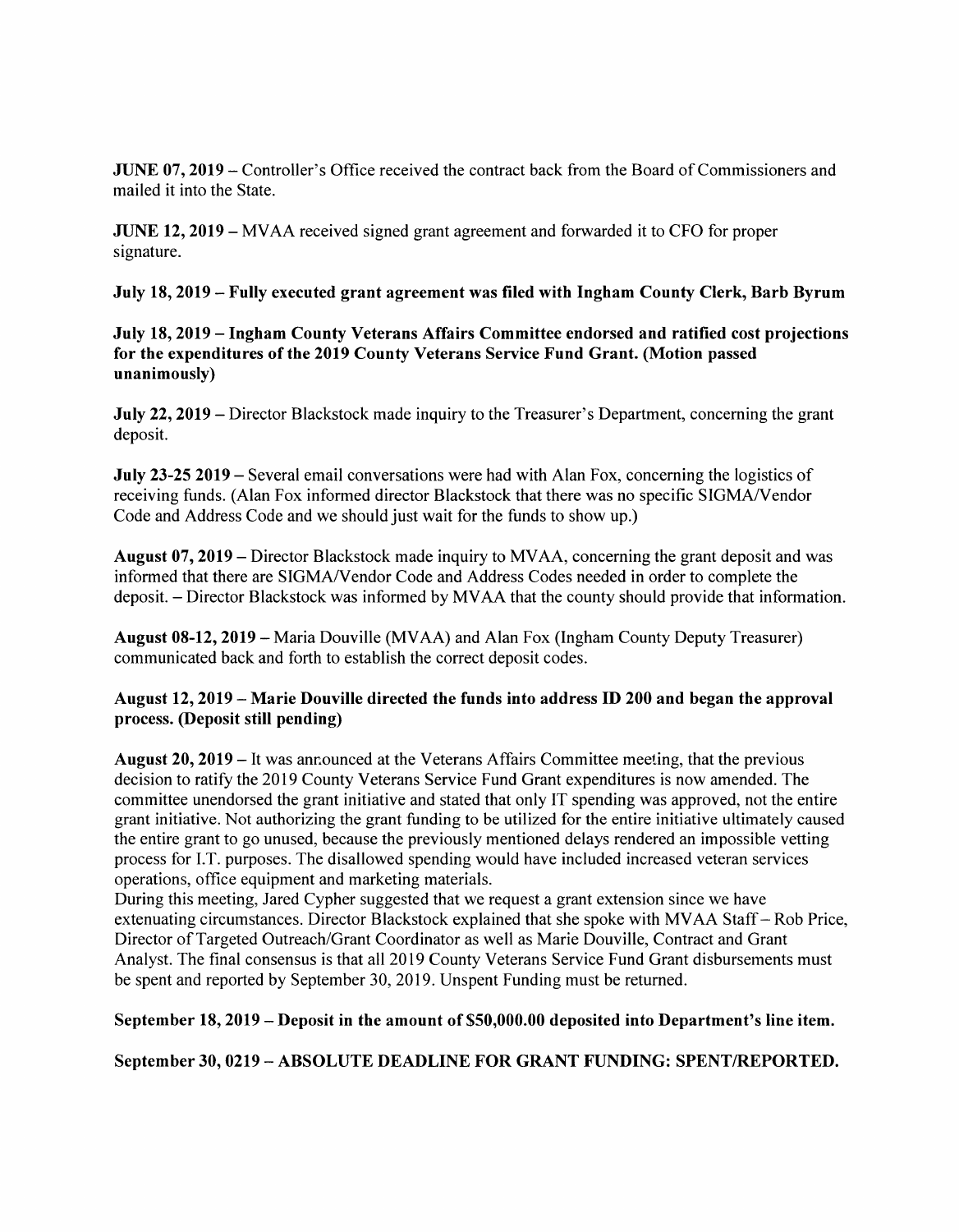*JUNE* 07, 2019 – Controller's Office received the contract back from the Board of Commissioners and mailed it into the State.

*JUNE 12,2019* - MVAA received signed grant agreement and forwarded it to CFO for proper signature.

*July 18,2019 - Fully executed grant agreement was filed with Ingham County Clerk, Barb Byrum*

*July 18,2019 - Ingham County Veterans Affairs Committee endorsed and ratified cost projections for the expenditures of the 2019 County Veterans Service Fund Grant. (Motion passed unanimously)*

*July* 22, 2019 – Director Blackstock made inquiry to the Treasurer's Department, concerning the grant deposit.

*July 23-25 2019* - Several email conversations were had with Alan Fox, concerning the logistics of receiving funds. (Alan Fox informed director Blackstock that there was no specific SIGMA/Vendor Code and Address Code and we should just wait for the funds to show up.)

*August 07,2019* - Director Blackstock made inquiry to MVAA, concerning the grant deposit and was informed that there are SIGMA/Vendor Code and Address Codes needed in order to complete the deposit. - Director Blackstock was informed by MVAA that the county should provide that information.

*August 08-12,2019* - Maria Douville (MVAA) and Alan Fox (Ingham County Deputy Treasurer) communicated back and forth to establish the correct deposit codes.

### *August 12,2019 - Marie Douville directed the funds into address ID 200 and began the approval process. (Deposit still pending)*

*August 20,2019* - It was announced at the Veterans Affairs Committee meeting, that the previous decision to ratify the 2019 County Veterans Service Fund Grant expenditures is now amended. The committee unendorsed the grant initiative and stated that only IT spending was approved, not the entire grant initiative. Not authorizing the grant funding to be utilized for the entire initiative ultimately caused the entire grant to go unused, because the previously mentioned delays rendered an impossible vetting process for I.T. purposes. The disallowed spending would have included increased veteran services operations, office equipment and marketing materials.

During this meeting, Jared Cypher suggested that we request a grant extension since we have extenuating circumstances. Director Blackstock explained that she spoke with MVAA Staff- Rob Price, Director of Targeted Outreach/Grant Coordinator as well as Marie Douville, Contract and Grant Analyst. The final consensus is that all 2019 County Veterans Service Fund Grant disbursements must be spent and reported by September 30, 2019. Unspent Funding must be returned.

*September 18,2019 -Deposit in the amount of \$50,000.00 deposited into Department's line item.*

*September 30, 0219 - ABSOLUTE DEADLINE FOR GRANT FUNDING: SPENT/REPORTED.*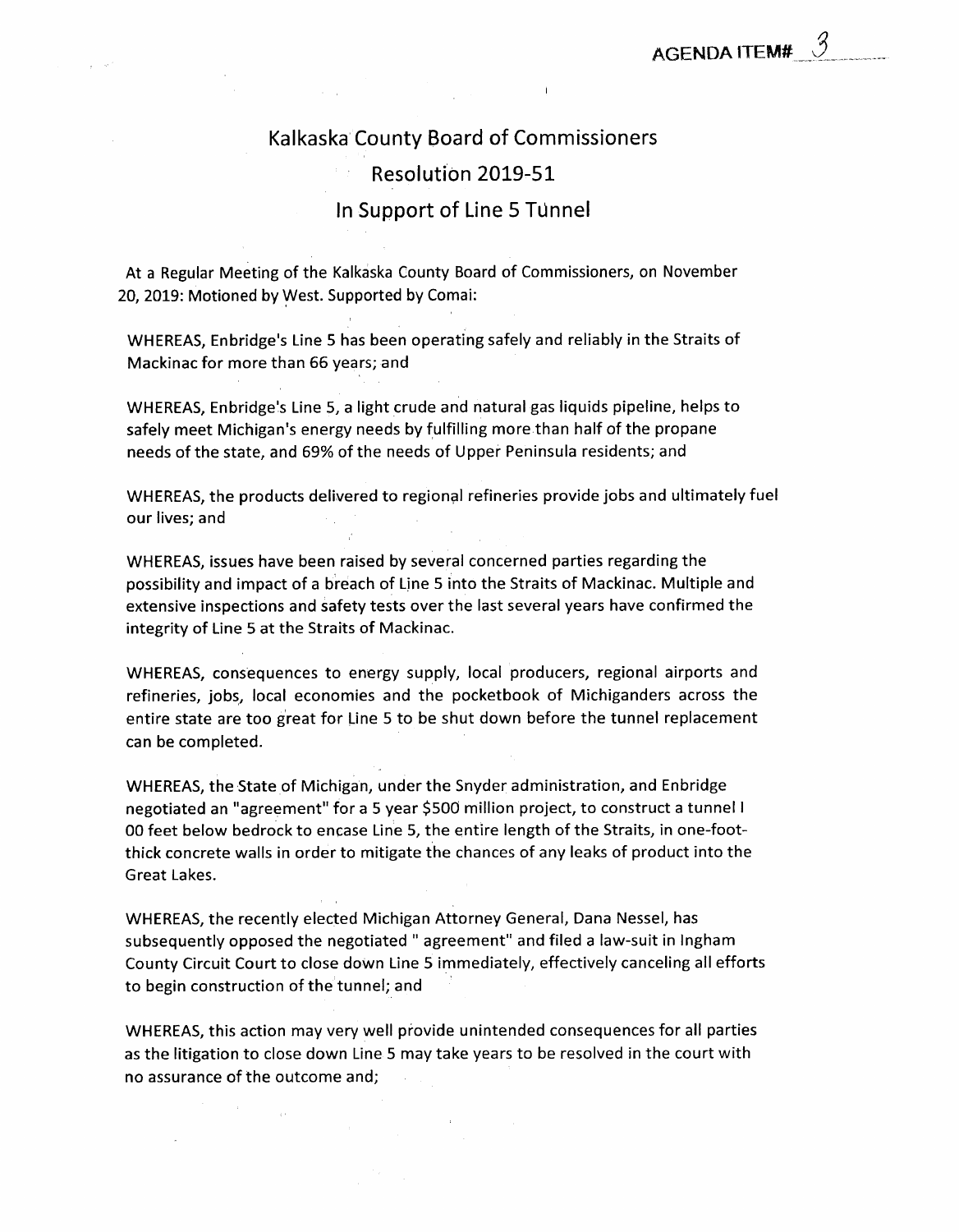# Kalkaska County Board of Commissioners Resolution 2019-51 In Support of Line 5 TUnnel

<span id="page-8-0"></span>At a Regular Meeting of the Kalkaska County Board of Commissioners, on November 20, 2019: Motioned by West. Supported by Comai:

WHEREAS, Enbridge's Line 5 has been operating safely and reliably in the Straits of Mackinac for more than 66 years; and

WHEREAS, Enbridge's Line 5, a light crude and natural gas liquids pipeline, helps to safely meet Michigan's energy needs by fulfilling more than half of the propane needs of the state, and 69% of the needs of Upper Peninsula residents; and

WHEREAS, the products delivered to regional refineries provide jobs and ultimately fuel our lives; and

WHEREAS, issues have been raised by several concerned parties regarding the possibility and impact of a breach of Line 5 into the Straits of Mackinac. Multiple and extensive inspections and safety tests over the last several years have confirmed the integrity of Line 5 at the Straits of Mackinac.

WHEREAS, consequences to energy supply, local producers, regional airports and refineries, jobs, local economies and the pocketbook of Michiganders across the entire state are too great for Line 5 to be shut down before the tunnel replacement can be completed.

WHEREAS, the State of Michigan, under the Snyder administration, and Enbridge negotiated an "agreement" for a 5 year \$500 million project, to construct a tunnel I 00 feet below bedrock to encase Line 5, the entire length of the Straits, in one-footthick concrete walls in order to mitigate the chances of any leaks of product into the Great Lakes.

WHEREAS, the recently elected Michigan Attorney General, Dana Nessel, has subsequently opposed the negotiated " agreement" and filed a law-suit in Ingham County Circuit Court to close down Line 5 immediately, effectively canceling all efforts to begin construction of the tunnel; and

WHEREAS, this action may very well provide unintended consequences for all parties as the litigation to close down Line 5 may take years to be resolved in the court with no assurance of the outcome and;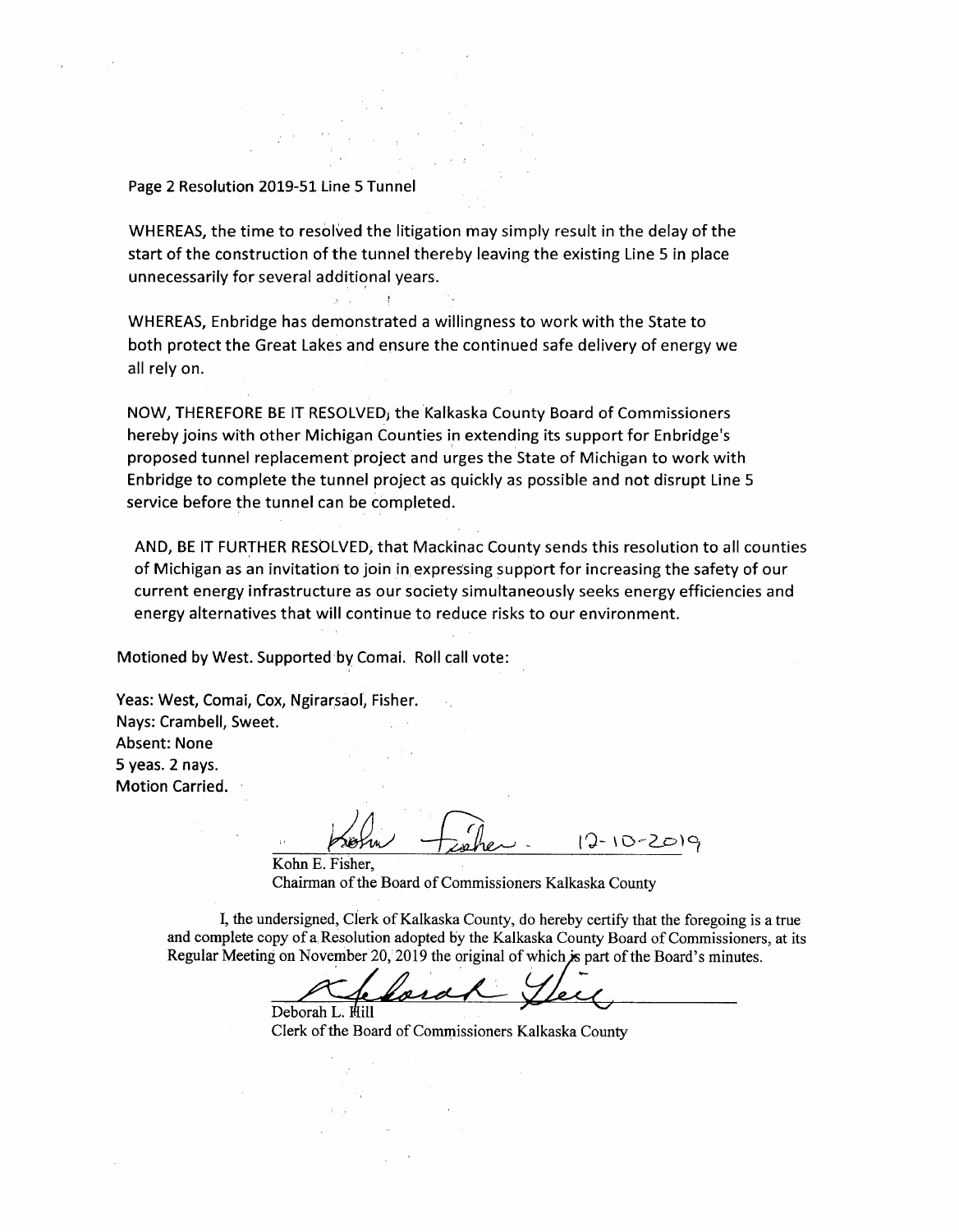#### Page 2 Resolution 2019-51 Line 5 Tunnel

WHEREAS, the time to resolved the litigation may simply result in the delay of the start of the construction of the tunnel thereby leaving the existing Line 5 in place unnecessarily for several additional years.

WHEREAS, Enbridge has demonstrated a willingness to work with the State to both protect the Great Lakes and ensure the continued safe delivery of energy we all rely on.

NOW, THEREFORE BE IT RESOLVED) the Kalkaska County Board of Commissioners hereby joins with other Michigan Counties in extending its support for Enbridge's proposed tunnel replacement project and urges the State of Michigan to work with Enbridge to complete the tunnel project as quickly as possible and not disrupt Line 5 service before the tunnel can be completed.

AND, BE IT FURTHER RESOLVED, that Mackinac County sends this resolution to all counties of Michigan as an invitatiori to join in expressing support for increasing the safety of our current energy infrastructure as our society simultaneously seeks energy efficiencies and energy alternatives that will continue to reduce risks to our environment.

Motioned by West. Supported by Comai. Roll call vote:

Yeas: West, Comai, Cox, Ngirarsaol, Fisher. Nays: Crambell, Sweet. Absent: None 5 yeas. 2 nays. Motion Carried.

*|Q- \0-2j=>)^*

Kohn E. Fisher, Chairman of the Board of Commissioners Kalkaska County

I, the undersigned, Clerk of Kalkaska County, do hereby certify that the foregoing is a true and complete copy of a Resolution adopted by the Kalkaska County Board of Commissioners, at its Regular Meeting on November 20, 2019 the original of which is part of the Board's minutes.

Deborah L. Mill Clerk of the Board of Commissioners Kalkaska County